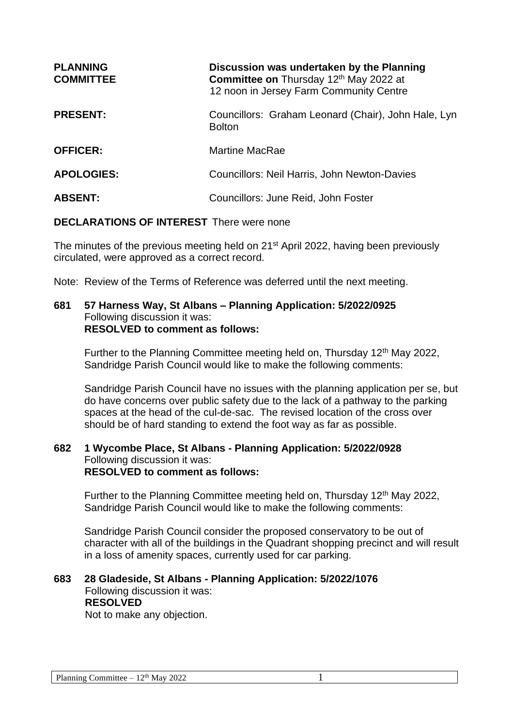| <b>PLANNING</b><br><b>COMMITTEE</b> | Discussion was undertaken by the Planning<br>Committee on Thursday 12th May 2022 at<br>12 noon in Jersey Farm Community Centre |
|-------------------------------------|--------------------------------------------------------------------------------------------------------------------------------|
| <b>PRESENT:</b>                     | Councillors: Graham Leonard (Chair), John Hale, Lyn<br><b>Bolton</b>                                                           |
| <b>OFFICER:</b>                     | <b>Martine MacRae</b>                                                                                                          |
| <b>APOLOGIES:</b>                   | Councillors: Neil Harris, John Newton-Davies                                                                                   |
| <b>ABSENT:</b>                      | Councillors: June Reid, John Foster                                                                                            |

## **DECLARATIONS OF INTEREST** There were none

The minutes of the previous meeting held on 21<sup>st</sup> April 2022, having been previously circulated, were approved as a correct record.

Note: Review of the Terms of Reference was deferred until the next meeting.

#### **681 57 Harness Way, St Albans – Planning Application: 5/2022/0925** Following discussion it was: **RESOLVED to comment as follows:**

Further to the Planning Committee meeting held on, Thursday 12<sup>th</sup> May 2022, Sandridge Parish Council would like to make the following comments:

Sandridge Parish Council have no issues with the planning application per se, but do have concerns over public safety due to the lack of a pathway to the parking spaces at the head of the cul-de-sac. The revised location of the cross over should be of hard standing to extend the foot way as far as possible.

### **682 1 Wycombe Place, St Albans - Planning Application: 5/2022/0928** Following discussion it was: **RESOLVED to comment as follows:**

Further to the Planning Committee meeting held on. Thursday 12<sup>th</sup> May 2022, Sandridge Parish Council would like to make the following comments:

Sandridge Parish Council consider the proposed conservatory to be out of character with all of the buildings in the Quadrant shopping precinct and will result in a loss of amenity spaces, currently used for car parking.

# **683 28 Gladeside, St Albans - Planning Application: 5/2022/1076** Following discussion it was:

## **RESOLVED**

Not to make any objection.